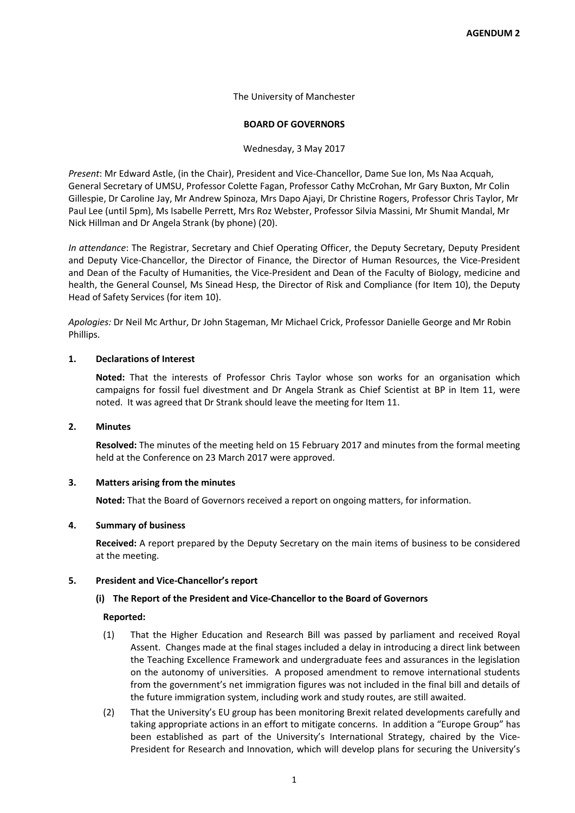The University of Manchester

## **BOARD OF GOVERNORS**

Wednesday, 3 May 2017

*Present*: Mr Edward Astle, (in the Chair), President and Vice-Chancellor, Dame Sue Ion, Ms Naa Acquah, General Secretary of UMSU, Professor Colette Fagan, Professor Cathy McCrohan, Mr Gary Buxton, Mr Colin Gillespie, Dr Caroline Jay, Mr Andrew Spinoza, Mrs Dapo Ajayi, Dr Christine Rogers, Professor Chris Taylor, Mr Paul Lee (until 5pm), Ms Isabelle Perrett, Mrs Roz Webster, Professor Silvia Massini, Mr Shumit Mandal, Mr Nick Hillman and Dr Angela Strank (by phone) (20).

*In attendance*: The Registrar, Secretary and Chief Operating Officer, the Deputy Secretary, Deputy President and Deputy Vice-Chancellor, the Director of Finance, the Director of Human Resources, the Vice-President and Dean of the Faculty of Humanities, the Vice-President and Dean of the Faculty of Biology, medicine and health, the General Counsel, Ms Sinead Hesp, the Director of Risk and Compliance (for Item 10), the Deputy Head of Safety Services (for item 10).

*Apologies:* Dr Neil Mc Arthur, Dr John Stageman, Mr Michael Crick, Professor Danielle George and Mr Robin Phillips.

# **1. Declarations of Interest**

**Noted:** That the interests of Professor Chris Taylor whose son works for an organisation which campaigns for fossil fuel divestment and Dr Angela Strank as Chief Scientist at BP in Item 11, were noted. It was agreed that Dr Strank should leave the meeting for Item 11.

# **2. Minutes**

**Resolved:** The minutes of the meeting held on 15 February 2017 and minutes from the formal meeting held at the Conference on 23 March 2017 were approved.

# **3. Matters arising from the minutes**

**Noted:** That the Board of Governors received a report on ongoing matters, for information.

#### **4. Summary of business**

**Received:** A report prepared by the Deputy Secretary on the main items of business to be considered at the meeting.

#### **5. President and Vice-Chancellor's report**

# **(i) The Report of the President and Vice-Chancellor to the Board of Governors**

- (1) That the Higher Education and Research Bill was passed by parliament and received Royal Assent. Changes made at the final stages included a delay in introducing a direct link between the Teaching Excellence Framework and undergraduate fees and assurances in the legislation on the autonomy of universities. A proposed amendment to remove international students from the government's net immigration figures was not included in the final bill and details of the future immigration system, including work and study routes, are still awaited.
- (2) That the University's EU group has been monitoring Brexit related developments carefully and taking appropriate actions in an effort to mitigate concerns. In addition a "Europe Group" has been established as part of the University's International Strategy, chaired by the Vice-President for Research and Innovation, which will develop plans for securing the University's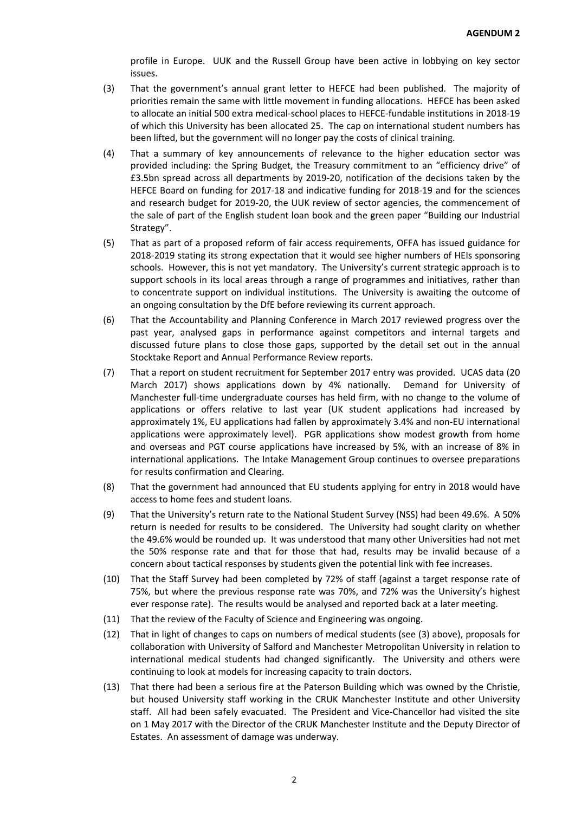profile in Europe. UUK and the Russell Group have been active in lobbying on key sector issues.

- (3) That the government's annual grant letter to HEFCE had been published. The majority of priorities remain the same with little movement in funding allocations. HEFCE has been asked to allocate an initial 500 extra medical-school places to HEFCE-fundable institutions in 2018-19 of which this University has been allocated 25. The cap on international student numbers has been lifted, but the government will no longer pay the costs of clinical training.
- (4) That a summary of key announcements of relevance to the higher education sector was provided including: the Spring Budget, the Treasury commitment to an "efficiency drive" of £3.5bn spread across all departments by 2019-20, notification of the decisions taken by the HEFCE Board on funding for 2017-18 and indicative funding for 2018-19 and for the sciences and research budget for 2019-20, the UUK review of sector agencies, the commencement of the sale of part of the English student loan book and the green paper "Building our Industrial Strategy".
- (5) That as part of a proposed reform of fair access requirements, OFFA has issued guidance for 2018-2019 stating its strong expectation that it would see higher numbers of HEIs sponsoring schools. However, this is not yet mandatory. The University's current strategic approach is to support schools in its local areas through a range of programmes and initiatives, rather than to concentrate support on individual institutions. The University is awaiting the outcome of an ongoing consultation by the DfE before reviewing its current approach.
- (6) That the Accountability and Planning Conference in March 2017 reviewed progress over the past year, analysed gaps in performance against competitors and internal targets and discussed future plans to close those gaps, supported by the detail set out in the annual Stocktake Report and Annual Performance Review reports.
- (7) That a report on student recruitment for September 2017 entry was provided. UCAS data (20 March 2017) shows applications down by 4% nationally. Demand for University of Manchester full-time undergraduate courses has held firm, with no change to the volume of applications or offers relative to last year (UK student applications had increased by approximately 1%, EU applications had fallen by approximately 3.4% and non-EU international applications were approximately level). PGR applications show modest growth from home and overseas and PGT course applications have increased by 5%, with an increase of 8% in international applications. The Intake Management Group continues to oversee preparations for results confirmation and Clearing.
- (8) That the government had announced that EU students applying for entry in 2018 would have access to home fees and student loans.
- (9) That the University's return rate to the National Student Survey (NSS) had been 49.6%. A 50% return is needed for results to be considered. The University had sought clarity on whether the 49.6% would be rounded up. It was understood that many other Universities had not met the 50% response rate and that for those that had, results may be invalid because of a concern about tactical responses by students given the potential link with fee increases.
- (10) That the Staff Survey had been completed by 72% of staff (against a target response rate of 75%, but where the previous response rate was 70%, and 72% was the University's highest ever response rate). The results would be analysed and reported back at a later meeting.
- (11) That the review of the Faculty of Science and Engineering was ongoing.
- (12) That in light of changes to caps on numbers of medical students (see (3) above), proposals for collaboration with University of Salford and Manchester Metropolitan University in relation to international medical students had changed significantly. The University and others were continuing to look at models for increasing capacity to train doctors.
- (13) That there had been a serious fire at the Paterson Building which was owned by the Christie, but housed University staff working in the CRUK Manchester Institute and other University staff. All had been safely evacuated. The President and Vice-Chancellor had visited the site on 1 May 2017 with the Director of the CRUK Manchester Institute and the Deputy Director of Estates. An assessment of damage was underway.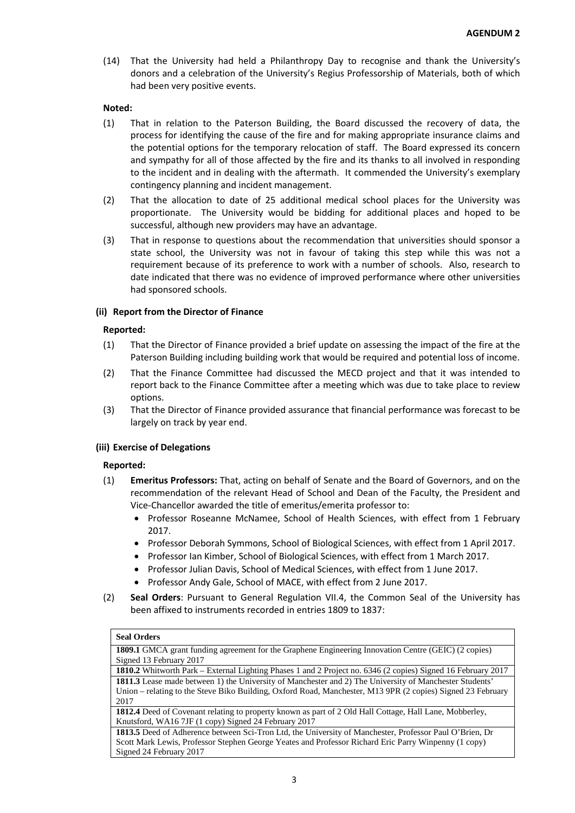(14) That the University had held a Philanthropy Day to recognise and thank the University's donors and a celebration of the University's Regius Professorship of Materials, both of which had been very positive events.

# **Noted:**

- (1) That in relation to the Paterson Building, the Board discussed the recovery of data, the process for identifying the cause of the fire and for making appropriate insurance claims and the potential options for the temporary relocation of staff. The Board expressed its concern and sympathy for all of those affected by the fire and its thanks to all involved in responding to the incident and in dealing with the aftermath. It commended the University's exemplary contingency planning and incident management.
- (2) That the allocation to date of 25 additional medical school places for the University was proportionate. The University would be bidding for additional places and hoped to be successful, although new providers may have an advantage.
- (3) That in response to questions about the recommendation that universities should sponsor a state school, the University was not in favour of taking this step while this was not a requirement because of its preference to work with a number of schools. Also, research to date indicated that there was no evidence of improved performance where other universities had sponsored schools.

# **(ii) Report from the Director of Finance**

# **Reported:**

- (1) That the Director of Finance provided a brief update on assessing the impact of the fire at the Paterson Building including building work that would be required and potential loss of income.
- (2) That the Finance Committee had discussed the MECD project and that it was intended to report back to the Finance Committee after a meeting which was due to take place to review options.
- (3) That the Director of Finance provided assurance that financial performance was forecast to be largely on track by year end.

# **(iii) Exercise of Delegations**

# **Reported:**

- (1) **Emeritus Professors:** That, acting on behalf of Senate and the Board of Governors, and on the recommendation of the relevant Head of School and Dean of the Faculty, the President and Vice-Chancellor awarded the title of emeritus/emerita professor to:
	- Professor Roseanne McNamee, School of Health Sciences, with effect from 1 February 2017.
	- Professor Deborah Symmons, School of Biological Sciences, with effect from 1 April 2017.
	- Professor Ian Kimber, School of Biological Sciences, with effect from 1 March 2017.
	- Professor Julian Davis, School of Medical Sciences, with effect from 1 June 2017.
	- Professor Andy Gale, School of MACE, with effect from 2 June 2017.
- (2) **Seal Orders**: Pursuant to General Regulation VII.4, the Common Seal of the University has been affixed to instruments recorded in entries 1809 to 1837:

#### **Seal Orders**

**1809.1** GMCA grant funding agreement for the Graphene Engineering Innovation Centre (GEIC) (2 copies) Signed 13 February 2017

**1810.2** Whitworth Park – External Lighting Phases 1 and 2 Project no. 6346 (2 copies) Signed 16 February 2017 **1811.3** Lease made between 1) the University of Manchester and 2) The University of Manchester Students' Union – relating to the Steve Biko Building, Oxford Road, Manchester, M13 9PR (2 copies) Signed 23 February 2017

**1812.4** Deed of Covenant relating to property known as part of 2 Old Hall Cottage, Hall Lane, Mobberley, Knutsford, WA16 7JF (1 copy) Signed 24 February 2017

**1813.5** Deed of Adherence between Sci-Tron Ltd, the University of Manchester, Professor Paul O'Brien, Dr Scott Mark Lewis, Professor Stephen George Yeates and Professor Richard Eric Parry Winpenny (1 copy) Signed 24 February 2017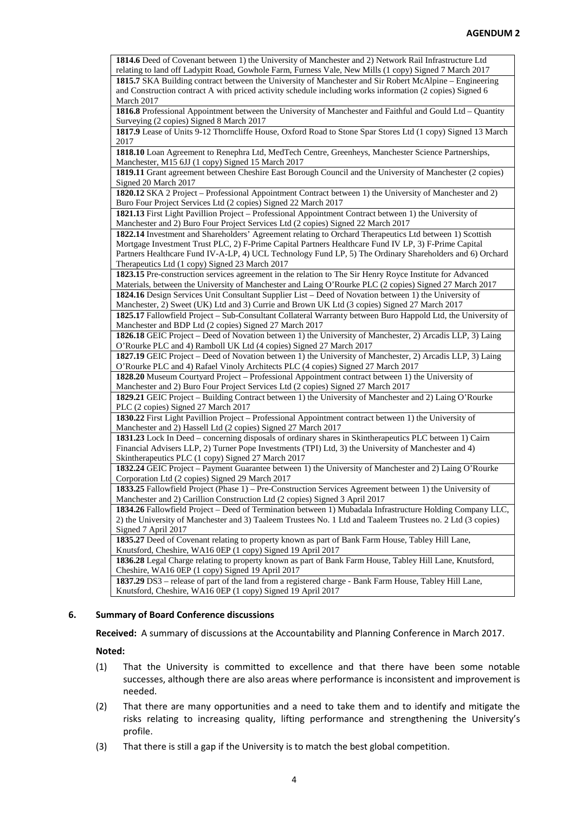| 1814.6 Deed of Covenant between 1) the University of Manchester and 2) Network Rail Infrastructure Ltd       |
|--------------------------------------------------------------------------------------------------------------|
| relating to land off Ladypitt Road, Gowhole Farm, Furness Vale, New Mills (1 copy) Signed 7 March 2017       |
| 1815.7 SKA Building contract between the University of Manchester and Sir Robert McAlpine – Engineering      |
| and Construction contract A with priced activity schedule including works information (2 copies) Signed 6    |
| March 2017                                                                                                   |
| 1816.8 Professional Appointment between the University of Manchester and Faithful and Gould Ltd - Quantity   |
| Surveying (2 copies) Signed 8 March 2017                                                                     |
| 1817.9 Lease of Units 9-12 Thorncliffe House, Oxford Road to Stone Spar Stores Ltd (1 copy) Signed 13 March  |
| 2017                                                                                                         |
| 1818.10 Loan Agreement to Renephra Ltd, MedTech Centre, Greenheys, Manchester Science Partnerships,          |
| Manchester, M15 6JJ (1 copy) Signed 15 March 2017                                                            |
| 1819.11 Grant agreement between Cheshire East Borough Council and the University of Manchester (2 copies)    |
| Signed 20 March 2017                                                                                         |
| 1820.12 SKA 2 Project - Professional Appointment Contract between 1) the University of Manchester and 2)     |
| Buro Four Project Services Ltd (2 copies) Signed 22 March 2017                                               |
| 1821.13 First Light Pavillion Project - Professional Appointment Contract between 1) the University of       |
| Manchester and 2) Buro Four Project Services Ltd (2 copies) Signed 22 March 2017                             |
| 1822.14 Investment and Shareholders' Agreement relating to Orchard Therapeutics Ltd between 1) Scottish      |
| Mortgage Investment Trust PLC, 2) F-Prime Capital Partners Healthcare Fund IV LP, 3) F-Prime Capital         |
| Partners Healthcare Fund IV-A-LP, 4) UCL Technology Fund LP, 5) The Ordinary Shareholders and 6) Orchard     |
| Therapeutics Ltd (1 copy) Signed 23 March 2017                                                               |
| 1823.15 Pre-construction services agreement in the relation to The Sir Henry Royce Institute for Advanced    |
| Materials, between the University of Manchester and Laing O'Rourke PLC (2 copies) Signed 27 March 2017       |
| 1824.16 Design Services Unit Consultant Supplier List – Deed of Novation between 1) the University of        |
| Manchester, 2) Sweet (UK) Ltd and 3) Currie and Brown UK Ltd (3 copies) Signed 27 March 2017                 |
| 1825.17 Fallowfield Project - Sub-Consultant Collateral Warranty between Buro Happold Ltd, the University of |
| Manchester and BDP Ltd (2 copies) Signed 27 March 2017                                                       |
| 1826.18 GEIC Project – Deed of Novation between 1) the University of Manchester, 2) Arcadis LLP, 3) Laing    |
| O'Rourke PLC and 4) Ramboll UK Ltd (4 copies) Signed 27 March 2017                                           |
| 1827.19 GEIC Project – Deed of Novation between 1) the University of Manchester, 2) Arcadis LLP, 3) Laing    |
| O'Rourke PLC and 4) Rafael Vinoly Architects PLC (4 copies) Signed 27 March 2017                             |
| 1828.20 Museum Courtyard Project – Professional Appointment contract between 1) the University of            |
| Manchester and 2) Buro Four Project Services Ltd (2 copies) Signed 27 March 2017                             |
| 1829.21 GEIC Project - Building Contract between 1) the University of Manchester and 2) Laing O'Rourke       |
| PLC (2 copies) Signed 27 March 2017                                                                          |
| 1830.22 First Light Pavillion Project – Professional Appointment contract between 1) the University of       |
| Manchester and 2) Hassell Ltd (2 copies) Signed 27 March 2017                                                |
| 1831.23 Lock In Deed - concerning disposals of ordinary shares in Skintherapeutics PLC between 1) Cairn      |
| Financial Advisers LLP, 2) Turner Pope Investments (TPI) Ltd, 3) the University of Manchester and 4)         |
| Skintherapeutics PLC (1 copy) Signed 27 March 2017                                                           |
| 1832.24 GEIC Project - Payment Guarantee between 1) the University of Manchester and 2) Laing O'Rourke       |
| Corporation Ltd (2 copies) Signed 29 March 2017                                                              |
| 1833.25 Fallowfield Project (Phase 1) – Pre-Construction Services Agreement between 1) the University of     |
| Manchester and 2) Carillion Construction Ltd (2 copies) Signed 3 April 2017                                  |
| 1834.26 Fallowfield Project - Deed of Termination between 1) Mubadala Infrastructure Holding Company LLC,    |
| 2) the University of Manchester and 3) Taaleem Trustees No. 1 Ltd and Taaleem Trustees no. 2 Ltd (3 copies)  |
| Signed 7 April 2017                                                                                          |
| 1835.27 Deed of Covenant relating to property known as part of Bank Farm House, Tabley Hill Lane,            |
| Knutsford, Cheshire, WA16 0EP (1 copy) Signed 19 April 2017                                                  |
| 1836.28 Legal Charge relating to property known as part of Bank Farm House, Tabley Hill Lane, Knutsford,     |
| Cheshire, WA16 0EP (1 copy) Signed 19 April 2017                                                             |
| 1837.29 DS3 - release of part of the land from a registered charge - Bank Farm House, Tabley Hill Lane,      |
| Knutsford, Cheshire, WA16 0EP (1 copy) Signed 19 April 2017                                                  |

# **6. Summary of Board Conference discussions**

**Received:** A summary of discussions at the Accountability and Planning Conference in March 2017.

**Noted:** 

- (1) That the University is committed to excellence and that there have been some notable successes, although there are also areas where performance is inconsistent and improvement is needed.
- (2) That there are many opportunities and a need to take them and to identify and mitigate the risks relating to increasing quality, lifting performance and strengthening the University's profile.
- (3) That there is still a gap if the University is to match the best global competition.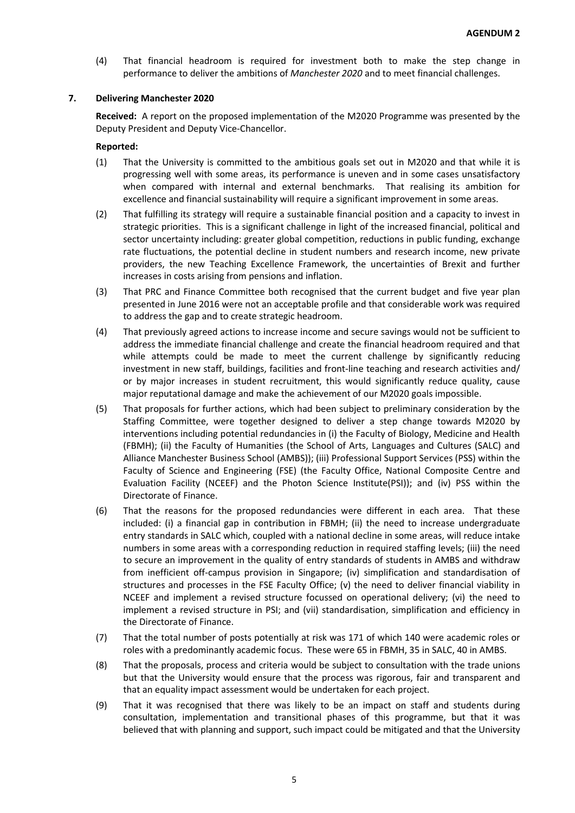(4) That financial headroom is required for investment both to make the step change in performance to deliver the ambitions of *Manchester 2020* and to meet financial challenges.

# **7. Delivering Manchester 2020**

**Received:** A report on the proposed implementation of the M2020 Programme was presented by the Deputy President and Deputy Vice-Chancellor.

- (1) That the University is committed to the ambitious goals set out in M2020 and that while it is progressing well with some areas, its performance is uneven and in some cases unsatisfactory when compared with internal and external benchmarks. That realising its ambition for excellence and financial sustainability will require a significant improvement in some areas.
- (2) That fulfilling its strategy will require a sustainable financial position and a capacity to invest in strategic priorities. This is a significant challenge in light of the increased financial, political and sector uncertainty including: greater global competition, reductions in public funding, exchange rate fluctuations, the potential decline in student numbers and research income, new private providers, the new Teaching Excellence Framework, the uncertainties of Brexit and further increases in costs arising from pensions and inflation.
- (3) That PRC and Finance Committee both recognised that the current budget and five year plan presented in June 2016 were not an acceptable profile and that considerable work was required to address the gap and to create strategic headroom.
- (4) That previously agreed actions to increase income and secure savings would not be sufficient to address the immediate financial challenge and create the financial headroom required and that while attempts could be made to meet the current challenge by significantly reducing investment in new staff, buildings, facilities and front-line teaching and research activities and/ or by major increases in student recruitment, this would significantly reduce quality, cause major reputational damage and make the achievement of our M2020 goals impossible.
- (5) That proposals for further actions, which had been subject to preliminary consideration by the Staffing Committee, were together designed to deliver a step change towards M2020 by interventions including potential redundancies in (i) the Faculty of Biology, Medicine and Health (FBMH); (ii) the Faculty of Humanities (the School of Arts, Languages and Cultures (SALC) and Alliance Manchester Business School (AMBS)); (iii) Professional Support Services (PSS) within the Faculty of Science and Engineering (FSE) (the Faculty Office, National Composite Centre and Evaluation Facility (NCEEF) and the Photon Science Institute(PSI)); and (iv) PSS within the Directorate of Finance.
- (6) That the reasons for the proposed redundancies were different in each area. That these included: (i) a financial gap in contribution in FBMH; (ii) the need to increase undergraduate entry standards in SALC which, coupled with a national decline in some areas, will reduce intake numbers in some areas with a corresponding reduction in required staffing levels; (iii) the need to secure an improvement in the quality of entry standards of students in AMBS and withdraw from inefficient off-campus provision in Singapore; (iv) simplification and standardisation of structures and processes in the FSE Faculty Office; (v) the need to deliver financial viability in NCEEF and implement a revised structure focussed on operational delivery; (vi) the need to implement a revised structure in PSI; and (vii) standardisation, simplification and efficiency in the Directorate of Finance.
- (7) That the total number of posts potentially at risk was 171 of which 140 were academic roles or roles with a predominantly academic focus. These were 65 in FBMH, 35 in SALC, 40 in AMBS.
- (8) That the proposals, process and criteria would be subject to consultation with the trade unions but that the University would ensure that the process was rigorous, fair and transparent and that an equality impact assessment would be undertaken for each project.
- (9) That it was recognised that there was likely to be an impact on staff and students during consultation, implementation and transitional phases of this programme, but that it was believed that with planning and support, such impact could be mitigated and that the University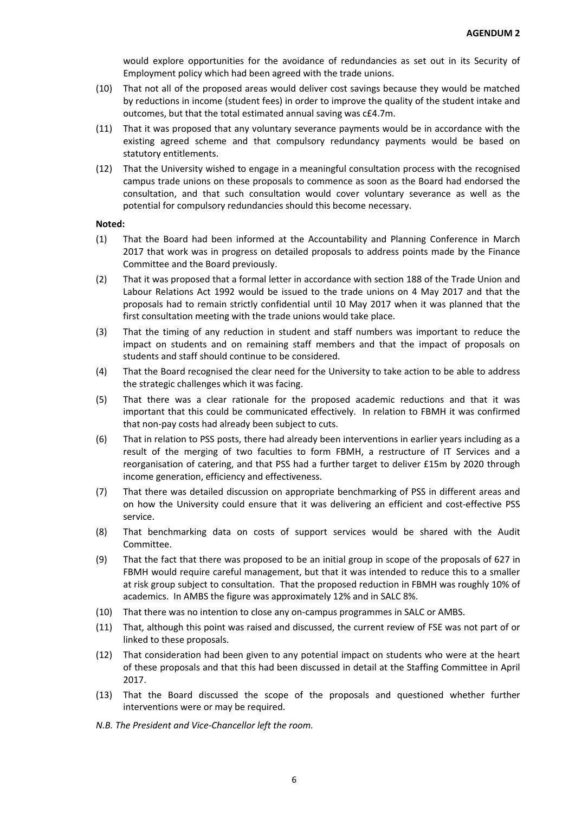would explore opportunities for the avoidance of redundancies as set out in its Security of Employment policy which had been agreed with the trade unions.

- (10) That not all of the proposed areas would deliver cost savings because they would be matched by reductions in income (student fees) in order to improve the quality of the student intake and outcomes, but that the total estimated annual saving was c£4.7m.
- (11) That it was proposed that any voluntary severance payments would be in accordance with the existing agreed scheme and that compulsory redundancy payments would be based on statutory entitlements.
- (12) That the University wished to engage in a meaningful consultation process with the recognised campus trade unions on these proposals to commence as soon as the Board had endorsed the consultation, and that such consultation would cover voluntary severance as well as the potential for compulsory redundancies should this become necessary.

### **Noted:**

- (1) That the Board had been informed at the Accountability and Planning Conference in March 2017 that work was in progress on detailed proposals to address points made by the Finance Committee and the Board previously.
- (2) That it was proposed that a formal letter in accordance with section 188 of the Trade Union and Labour Relations Act 1992 would be issued to the trade unions on 4 May 2017 and that the proposals had to remain strictly confidential until 10 May 2017 when it was planned that the first consultation meeting with the trade unions would take place.
- (3) That the timing of any reduction in student and staff numbers was important to reduce the impact on students and on remaining staff members and that the impact of proposals on students and staff should continue to be considered.
- (4) That the Board recognised the clear need for the University to take action to be able to address the strategic challenges which it was facing.
- (5) That there was a clear rationale for the proposed academic reductions and that it was important that this could be communicated effectively. In relation to FBMH it was confirmed that non-pay costs had already been subject to cuts.
- (6) That in relation to PSS posts, there had already been interventions in earlier years including as a result of the merging of two faculties to form FBMH, a restructure of IT Services and a reorganisation of catering, and that PSS had a further target to deliver £15m by 2020 through income generation, efficiency and effectiveness.
- (7) That there was detailed discussion on appropriate benchmarking of PSS in different areas and on how the University could ensure that it was delivering an efficient and cost-effective PSS service.
- (8) That benchmarking data on costs of support services would be shared with the Audit Committee.
- (9) That the fact that there was proposed to be an initial group in scope of the proposals of 627 in FBMH would require careful management, but that it was intended to reduce this to a smaller at risk group subject to consultation. That the proposed reduction in FBMH was roughly 10% of academics. In AMBS the figure was approximately 12% and in SALC 8%.
- (10) That there was no intention to close any on-campus programmes in SALC or AMBS.
- (11) That, although this point was raised and discussed, the current review of FSE was not part of or linked to these proposals.
- (12) That consideration had been given to any potential impact on students who were at the heart of these proposals and that this had been discussed in detail at the Staffing Committee in April 2017.
- (13) That the Board discussed the scope of the proposals and questioned whether further interventions were or may be required.
- *N.B. The President and Vice-Chancellor left the room.*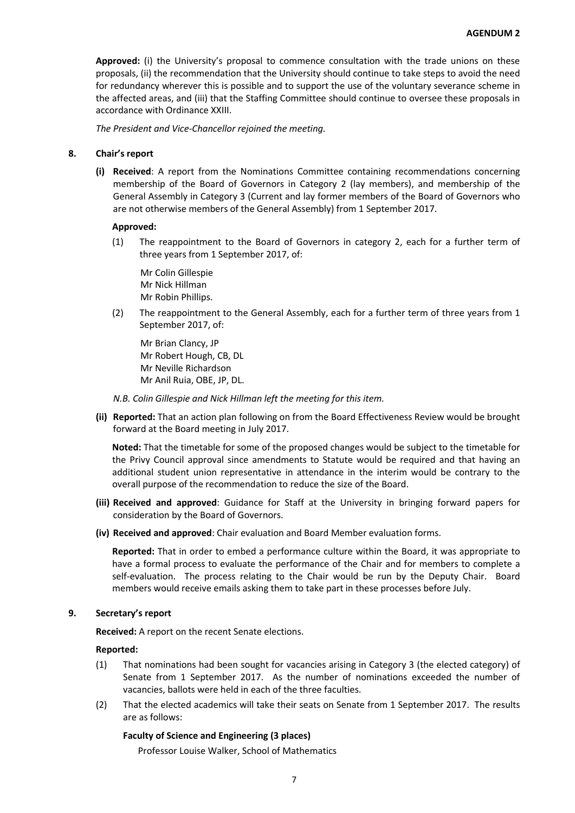**Approved:** (i) the University's proposal to commence consultation with the trade unions on these proposals, (ii) the recommendation that the University should continue to take steps to avoid the need for redundancy wherever this is possible and to support the use of the voluntary severance scheme in the affected areas, and (iii) that the Staffing Committee should continue to oversee these proposals in accordance with Ordinance XXIII.

*The President and Vice-Chancellor rejoined the meeting.*

## **8. Chair's report**

**(i) Received**: A report from the Nominations Committee containing recommendations concerning membership of the Board of Governors in Category 2 (lay members), and membership of the General Assembly in Category 3 (Current and lay former members of the Board of Governors who are not otherwise members of the General Assembly) from 1 September 2017.

### **Approved:**

(1) The reappointment to the Board of Governors in category 2, each for a further term of three years from 1 September 2017, of:

Mr Colin Gillespie Mr Nick Hillman Mr Robin Phillips.

(2) The reappointment to the General Assembly, each for a further term of three years from 1 September 2017, of:

Mr Brian Clancy, JP Mr Robert Hough, CB, DL Mr Neville Richardson Mr Anil Ruia, OBE, JP, DL.

- *N.B. Colin Gillespie and Nick Hillman left the meeting for this item.*
- **(ii) Reported:** That an action plan following on from the Board Effectiveness Review would be brought forward at the Board meeting in July 2017.

**Noted:** That the timetable for some of the proposed changes would be subject to the timetable for the Privy Council approval since amendments to Statute would be required and that having an additional student union representative in attendance in the interim would be contrary to the overall purpose of the recommendation to reduce the size of the Board.

- **(iii) Received and approved**: Guidance for Staff at the University in bringing forward papers for consideration by the Board of Governors.
- **(iv) Received and approved**: Chair evaluation and Board Member evaluation forms.

**Reported:** That in order to embed a performance culture within the Board, it was appropriate to have a formal process to evaluate the performance of the Chair and for members to complete a self-evaluation. The process relating to the Chair would be run by the Deputy Chair. Board members would receive emails asking them to take part in these processes before July.

# **9. Secretary's report**

**Received:** A report on the recent Senate elections.

#### **Reported:**

- (1) That nominations had been sought for vacancies arising in Category 3 (the elected category) of Senate from 1 September 2017. As the number of nominations exceeded the number of vacancies, ballots were held in each of the three faculties.
- (2) That the elected academics will take their seats on Senate from 1 September 2017. The results are as follows:

# **Faculty of Science and Engineering (3 places)**

Professor Louise Walker, School of Mathematics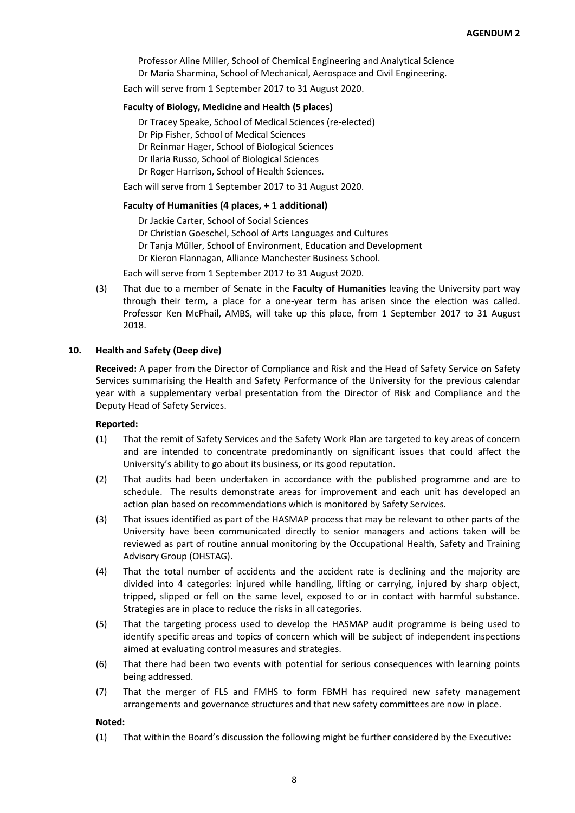Professor Aline Miller, School of Chemical Engineering and Analytical Science Dr Maria Sharmina, School of Mechanical, Aerospace and Civil Engineering.

Each will serve from 1 September 2017 to 31 August 2020.

### **Faculty of Biology, Medicine and Health (5 places)**

Dr Tracey Speake, School of Medical Sciences (re-elected)

Dr Pip Fisher, School of Medical Sciences

Dr Reinmar Hager, School of Biological Sciences

- Dr Ilaria Russo, School of Biological Sciences
- Dr Roger Harrison, School of Health Sciences.

Each will serve from 1 September 2017 to 31 August 2020.

## **Faculty of Humanities (4 places, + 1 additional)**

Dr Jackie Carter, School of Social Sciences

Dr Christian Goeschel, School of Arts Languages and Cultures

Dr Tanja Müller, School of Environment, Education and Development

Dr Kieron Flannagan, Alliance Manchester Business School.

Each will serve from 1 September 2017 to 31 August 2020.

(3) That due to a member of Senate in the **Faculty of Humanities** leaving the University part way through their term, a place for a one-year term has arisen since the election was called. Professor Ken McPhail, AMBS, will take up this place, from 1 September 2017 to 31 August 2018.

### **10. Health and Safety (Deep dive)**

**Received:** A paper from the Director of Compliance and Risk and the Head of Safety Service on Safety Services summarising the Health and Safety Performance of the University for the previous calendar year with a supplementary verbal presentation from the Director of Risk and Compliance and the Deputy Head of Safety Services.

# **Reported:**

- (1) That the remit of Safety Services and the Safety Work Plan are targeted to key areas of concern and are intended to concentrate predominantly on significant issues that could affect the University's ability to go about its business, or its good reputation.
- (2) That audits had been undertaken in accordance with the published programme and are to schedule. The results demonstrate areas for improvement and each unit has developed an action plan based on recommendations which is monitored by Safety Services.
- (3) That issues identified as part of the HASMAP process that may be relevant to other parts of the University have been communicated directly to senior managers and actions taken will be reviewed as part of routine annual monitoring by the Occupational Health, Safety and Training Advisory Group (OHSTAG).
- (4) That the total number of accidents and the accident rate is declining and the majority are divided into 4 categories: injured while handling, lifting or carrying, injured by sharp object, tripped, slipped or fell on the same level, exposed to or in contact with harmful substance. Strategies are in place to reduce the risks in all categories.
- (5) That the targeting process used to develop the HASMAP audit programme is being used to identify specific areas and topics of concern which will be subject of independent inspections aimed at evaluating control measures and strategies.
- (6) That there had been two events with potential for serious consequences with learning points being addressed.
- (7) That the merger of FLS and FMHS to form FBMH has required new safety management arrangements and governance structures and that new safety committees are now in place.

## **Noted:**

(1) That within the Board's discussion the following might be further considered by the Executive: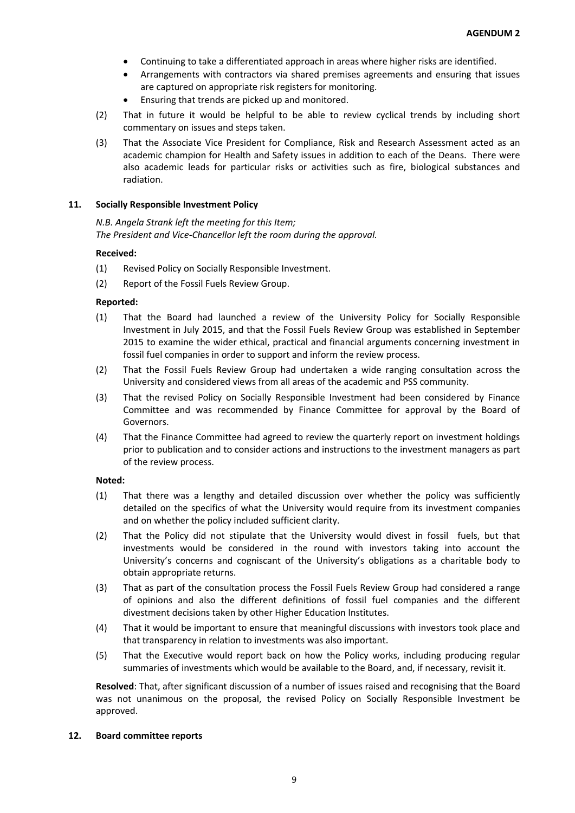- Continuing to take a differentiated approach in areas where higher risks are identified.
- Arrangements with contractors via shared premises agreements and ensuring that issues are captured on appropriate risk registers for monitoring.
- Ensuring that trends are picked up and monitored.
- (2) That in future it would be helpful to be able to review cyclical trends by including short commentary on issues and steps taken.
- (3) That the Associate Vice President for Compliance, Risk and Research Assessment acted as an academic champion for Health and Safety issues in addition to each of the Deans. There were also academic leads for particular risks or activities such as fire, biological substances and radiation.

### **11. Socially Responsible Investment Policy**

*N.B. Angela Strank left the meeting for this Item; The President and Vice-Chancellor left the room during the approval.*

### **Received:**

- (1) Revised Policy on Socially Responsible Investment.
- (2) Report of the Fossil Fuels Review Group.

### **Reported:**

- (1) That the Board had launched a review of the University Policy for Socially Responsible Investment in July 2015, and that the Fossil Fuels Review Group was established in September 2015 to examine the wider ethical, practical and financial arguments concerning investment in fossil fuel companies in order to support and inform the review process.
- (2) That the Fossil Fuels Review Group had undertaken a wide ranging consultation across the University and considered views from all areas of the academic and PSS community.
- (3) That the revised Policy on Socially Responsible Investment had been considered by Finance Committee and was recommended by Finance Committee for approval by the Board of Governors.
- (4) That the Finance Committee had agreed to review the quarterly report on investment holdings prior to publication and to consider actions and instructions to the investment managers as part of the review process.

#### **Noted:**

- (1) That there was a lengthy and detailed discussion over whether the policy was sufficiently detailed on the specifics of what the University would require from its investment companies and on whether the policy included sufficient clarity.
- (2) That the Policy did not stipulate that the University would divest in fossil fuels, but that investments would be considered in the round with investors taking into account the University's concerns and cogniscant of the University's obligations as a charitable body to obtain appropriate returns.
- (3) That as part of the consultation process the Fossil Fuels Review Group had considered a range of opinions and also the different definitions of fossil fuel companies and the different divestment decisions taken by other Higher Education Institutes.
- (4) That it would be important to ensure that meaningful discussions with investors took place and that transparency in relation to investments was also important.
- (5) That the Executive would report back on how the Policy works, including producing regular summaries of investments which would be available to the Board, and, if necessary, revisit it.

**Resolved**: That, after significant discussion of a number of issues raised and recognising that the Board was not unanimous on the proposal, the revised Policy on Socially Responsible Investment be approved.

#### **12. Board committee reports**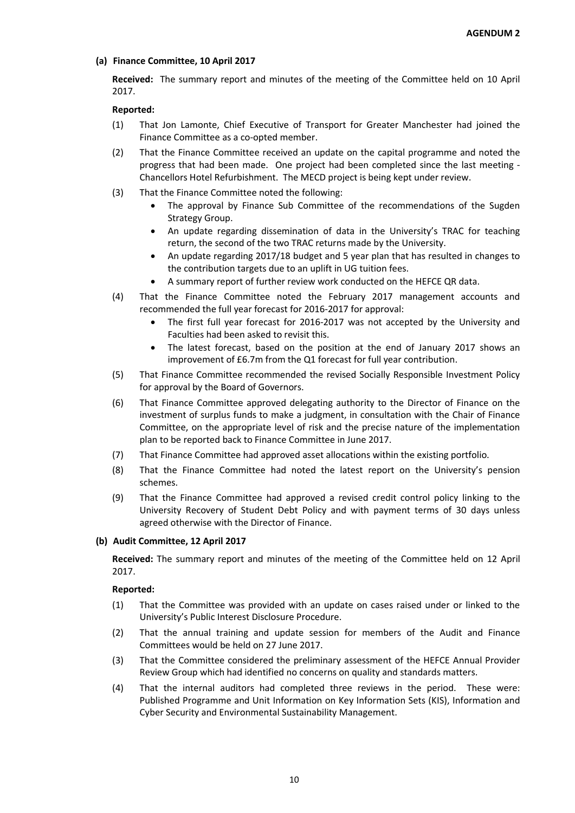# **(a) Finance Committee, 10 April 2017**

**Received:** The summary report and minutes of the meeting of the Committee held on 10 April 2017.

# **Reported:**

- (1) That Jon Lamonte, Chief Executive of Transport for Greater Manchester had joined the Finance Committee as a co-opted member.
- (2) That the Finance Committee received an update on the capital programme and noted the progress that had been made. One project had been completed since the last meeting - Chancellors Hotel Refurbishment. The MECD project is being kept under review.
- (3) That the Finance Committee noted the following:
	- The approval by Finance Sub Committee of the recommendations of the Sugden Strategy Group.
	- An update regarding dissemination of data in the University's TRAC for teaching return, the second of the two TRAC returns made by the University.
	- An update regarding 2017/18 budget and 5 year plan that has resulted in changes to the contribution targets due to an uplift in UG tuition fees.
	- A summary report of further review work conducted on the HEFCE QR data.
- (4) That the Finance Committee noted the February 2017 management accounts and recommended the full year forecast for 2016-2017 for approval:
	- The first full year forecast for 2016-2017 was not accepted by the University and Faculties had been asked to revisit this.
	- The latest forecast, based on the position at the end of January 2017 shows an improvement of £6.7m from the Q1 forecast for full year contribution.
- (5) That Finance Committee recommended the revised Socially Responsible Investment Policy for approval by the Board of Governors.
- (6) That Finance Committee approved delegating authority to the Director of Finance on the investment of surplus funds to make a judgment, in consultation with the Chair of Finance Committee, on the appropriate level of risk and the precise nature of the implementation plan to be reported back to Finance Committee in June 2017.
- (7) That Finance Committee had approved asset allocations within the existing portfolio.
- (8) That the Finance Committee had noted the latest report on the University's pension schemes.
- (9) That the Finance Committee had approved a revised credit control policy linking to the University Recovery of Student Debt Policy and with payment terms of 30 days unless agreed otherwise with the Director of Finance.

# **(b) Audit Committee, 12 April 2017**

**Received:** The summary report and minutes of the meeting of the Committee held on 12 April 2017.

- (1) That the Committee was provided with an update on cases raised under or linked to the University's Public Interest Disclosure Procedure.
- (2) That the annual training and update session for members of the Audit and Finance Committees would be held on 27 June 2017.
- (3) That the Committee considered the preliminary assessment of the HEFCE Annual Provider Review Group which had identified no concerns on quality and standards matters.
- (4) That the internal auditors had completed three reviews in the period. These were: Published Programme and Unit Information on Key Information Sets (KIS), Information and Cyber Security and Environmental Sustainability Management.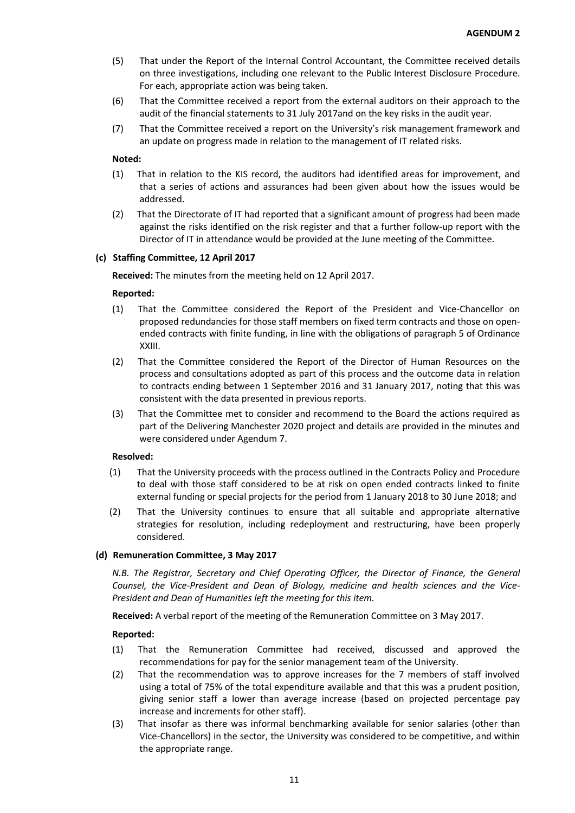- (5) That under the Report of the Internal Control Accountant, the Committee received details on three investigations, including one relevant to the Public Interest Disclosure Procedure. For each, appropriate action was being taken.
- (6) That the Committee received a report from the external auditors on their approach to the audit of the financial statements to 31 July 2017and on the key risks in the audit year.
- (7) That the Committee received a report on the University's risk management framework and an update on progress made in relation to the management of IT related risks.

## **Noted:**

- (1) That in relation to the KIS record, the auditors had identified areas for improvement, and that a series of actions and assurances had been given about how the issues would be addressed.
- (2) That the Directorate of IT had reported that a significant amount of progress had been made against the risks identified on the risk register and that a further follow-up report with the Director of IT in attendance would be provided at the June meeting of the Committee.

### **(c) Staffing Committee, 12 April 2017**

**Received:** The minutes from the meeting held on 12 April 2017.

### **Reported:**

- (1) That the Committee considered the Report of the President and Vice-Chancellor on proposed redundancies for those staff members on fixed term contracts and those on openended contracts with finite funding, in line with the obligations of paragraph 5 of Ordinance XXIII.
- (2) That the Committee considered the Report of the Director of Human Resources on the process and consultations adopted as part of this process and the outcome data in relation to contracts ending between 1 September 2016 and 31 January 2017, noting that this was consistent with the data presented in previous reports.
- (3) That the Committee met to consider and recommend to the Board the actions required as part of the Delivering Manchester 2020 project and details are provided in the minutes and were considered under Agendum 7.

#### **Resolved:**

- (1) That the University proceeds with the process outlined in the Contracts Policy and Procedure to deal with those staff considered to be at risk on open ended contracts linked to finite external funding or special projects for the period from 1 January 2018 to 30 June 2018; and
- (2) That the University continues to ensure that all suitable and appropriate alternative strategies for resolution, including redeployment and restructuring, have been properly considered.

#### **(d) Remuneration Committee, 3 May 2017**

*N.B. The Registrar, Secretary and Chief Operating Officer, the Director of Finance, the General Counsel, the Vice-President and Dean of Biology, medicine and health sciences and the Vice-President and Dean of Humanities left the meeting for this item.*

**Received:** A verbal report of the meeting of the Remuneration Committee on 3 May 2017.

- (1) That the Remuneration Committee had received, discussed and approved the recommendations for pay for the senior management team of the University.
- (2) That the recommendation was to approve increases for the 7 members of staff involved using a total of 75% of the total expenditure available and that this was a prudent position, giving senior staff a lower than average increase (based on projected percentage pay increase and increments for other staff).
- (3) That insofar as there was informal benchmarking available for senior salaries (other than Vice-Chancellors) in the sector, the University was considered to be competitive, and within the appropriate range.